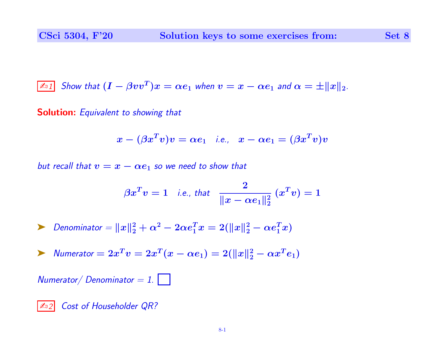$$
\boxed{\text{And}} \text{ Show that } (I - \beta vv^T)x = \alpha e_1 \text{ when } v = x - \alpha e_1 \text{ and } \alpha = \pm ||x||_2.
$$

Solution: Equivalent to showing that

$$
x-(\beta x^T v)v=\alpha e_1\quad\textrm{i.e.,}\quad x-\alpha e_1=(\beta x^T v)v
$$

but recall that  $v = x - \alpha e_1$  so we need to show that

$$
\beta x^T v = 1 \quad \text{i.e., that} \quad \frac{2}{\|x - \alpha e_1\|_2^2} \ (x^T v) = 1
$$

► Denominator = 
$$
||x||_2^2 + \alpha^2 - 2\alpha e_1^T x = 2(||x||_2^2 - \alpha e_1^T x)
$$

$$
\triangleright \quad \textit{Numerator} = 2x^T v = 2x^T (x - \alpha e_1) = 2(||x||_2^2 - \alpha x^T e_1)
$$

 $Numerator / Denominator = 1.$ 

✍<sup>2</sup> Cost of Householder QR?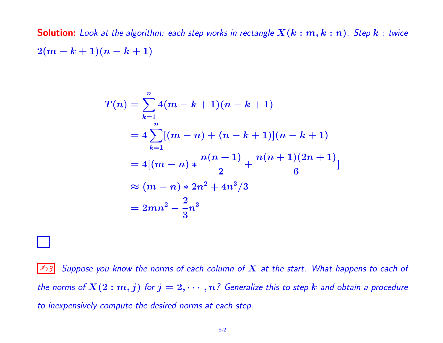**Solution:** Look at the algorithm: each step works in rectangle  $\bm{X}(\bm{k}:\bm{m},\bm{k}:\bm{n})$ . Step  $\bm{k}$  : twice  $2(m-k+1)(n-k+1)$ 

$$
T(n) = \sum_{k=1}^{n} 4(m - k + 1)(n - k + 1)
$$
  
=  $4 \sum_{k=1}^{n} [(m - n) + (n - k + 1)](n - k + 1)$   
=  $4[(m - n) * \frac{n(n + 1)}{2} + \frac{n(n + 1)(2n + 1)}{6}]$   
 $\approx (m - n) * 2n^2 + 4n^3/3$   
=  $2mn^2 - \frac{2}{3}n^3$ 

 $|\mathbb{Z}_3|$  Suppose you know the norms of each column of  $X$  at the start. What happens to each of the norms of  $X(2:m,j)$  for  $j=2,\cdots,n$ ? Generalize this to step  $k$  and obtain a procedure to inexpensively compute the desired norms at each step.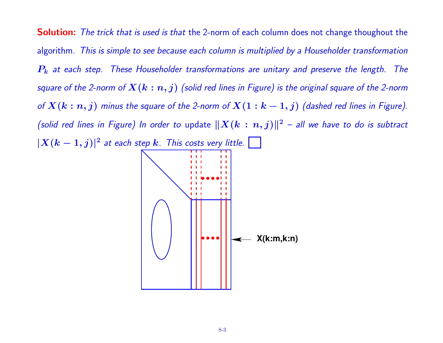**Solution:** The trick that is used is that the 2-norm of each column does not change thoughout the algorithm. This is simple to see because each column is multiplied by a Householder transformation  $P_k$  at each step. These Householder transformations are unitary and preserve the length. The square of the 2-norm of  $\bm{X}(\bm{k}:\bm{n},j)$  (solid red lines in Figure) is the original square of the 2-norm of  $X(k:n,j)$  minus the square of the 2-norm of  $X(1:k-1,j)$  (dashed red lines in Figure). (solid red lines in Figure) In order to update  $\|X(k:n, j)\|^2$  – all we have to do is subtract  $|X(k-1,j)|^2$  at each step  $k$ . This costs very little. ● ● ● ●  $1 - 1 - 1$ ● ● ● ● **X(k:m,k:n)**